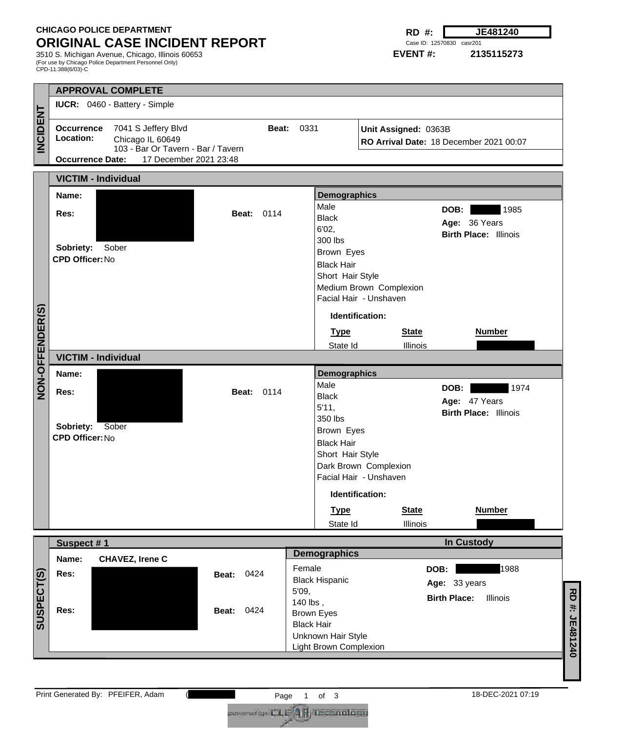## **CHICAGO POLICE DEPARTMENT ORIGINAL CASE INCIDENT REPORT**

3510 S. Michigan Avenue, Chicago, Illinois 60653 (For use by Chicago Police Department Personnel Only) CPD-11.388(6/03)-C

**RD #: JE481240** Case ID: 12570830 casr201

**EVENT #: 2135115273**

|                                                                                        |                                                                                                       | <b>APPROVAL COMPLETE</b>      |                        |                      |                                              |                         |                                         |               |  |
|----------------------------------------------------------------------------------------|-------------------------------------------------------------------------------------------------------|-------------------------------|------------------------|----------------------|----------------------------------------------|-------------------------|-----------------------------------------|---------------|--|
|                                                                                        |                                                                                                       | IUCR: 0460 - Battery - Simple |                        |                      |                                              |                         |                                         |               |  |
| <b>INCIDENT</b>                                                                        | Occurrence 7041 S Jeffery Blvd<br>Location:<br>Chicago IL 60649<br>103 - Bar Or Tavern - Bar / Tavern |                               |                        | 0331<br><b>Beat:</b> | Unit Assigned: 0363B                         |                         | RO Arrival Date: 18 December 2021 00:07 |               |  |
|                                                                                        | <b>Occurrence Date:</b>                                                                               |                               | 17 December 2021 23:48 |                      |                                              |                         |                                         |               |  |
|                                                                                        | <b>VICTIM - Individual</b>                                                                            |                               |                        |                      |                                              |                         |                                         |               |  |
|                                                                                        | Name:                                                                                                 |                               |                        |                      | <b>Demographics</b>                          |                         |                                         |               |  |
|                                                                                        | Res:                                                                                                  |                               | <b>Beat: 0114</b>      |                      | Male<br><b>Black</b>                         |                         | 1985<br>DOB:                            |               |  |
|                                                                                        |                                                                                                       |                               |                        |                      | 6'02,                                        |                         | Age: 36 Years                           |               |  |
|                                                                                        |                                                                                                       |                               |                        |                      | 300 lbs                                      |                         | <b>Birth Place: Illinois</b>            |               |  |
|                                                                                        | Sobriety: Sober<br><b>CPD Officer: No</b>                                                             |                               |                        |                      | Brown Eyes                                   |                         |                                         |               |  |
|                                                                                        |                                                                                                       |                               |                        |                      | <b>Black Hair</b><br>Short Hair Style        |                         |                                         |               |  |
|                                                                                        |                                                                                                       |                               |                        |                      |                                              | Medium Brown Complexion |                                         |               |  |
|                                                                                        |                                                                                                       |                               |                        |                      |                                              | Facial Hair - Unshaven  |                                         |               |  |
| NON-OFFENDER(S)                                                                        |                                                                                                       |                               |                        |                      | Identification:                              |                         |                                         |               |  |
|                                                                                        |                                                                                                       |                               |                        |                      | <b>Type</b>                                  | <b>State</b>            | <b>Number</b>                           |               |  |
|                                                                                        |                                                                                                       |                               |                        |                      | State Id                                     | Illinois                |                                         |               |  |
|                                                                                        |                                                                                                       | <b>VICTIM - Individual</b>    |                        |                      |                                              |                         |                                         |               |  |
|                                                                                        | Name:                                                                                                 |                               |                        |                      | <b>Demographics</b>                          |                         |                                         |               |  |
|                                                                                        | Res:                                                                                                  |                               | <b>Beat: 0114</b>      |                      | Male<br><b>Black</b>                         |                         | 1974<br>DOB:                            |               |  |
|                                                                                        |                                                                                                       |                               |                        |                      | 5'11,                                        |                         | Age: 47 Years                           |               |  |
|                                                                                        |                                                                                                       |                               |                        |                      | 350 lbs                                      |                         | <b>Birth Place: Illinois</b>            |               |  |
|                                                                                        | Sobriety: Sober<br><b>CPD Officer: No</b>                                                             |                               |                        |                      | Brown Eyes                                   |                         |                                         |               |  |
|                                                                                        |                                                                                                       |                               |                        |                      | <b>Black Hair</b>                            |                         |                                         |               |  |
|                                                                                        |                                                                                                       |                               |                        |                      | Short Hair Style                             | Dark Brown Complexion   |                                         |               |  |
|                                                                                        |                                                                                                       |                               |                        |                      | Facial Hair - Unshaven                       |                         |                                         |               |  |
|                                                                                        |                                                                                                       |                               |                        |                      | Identification:                              |                         |                                         |               |  |
|                                                                                        |                                                                                                       |                               |                        |                      | <b>Type</b>                                  | <b>State</b>            | <b>Number</b>                           |               |  |
|                                                                                        |                                                                                                       |                               |                        |                      | State Id                                     | Illinois                |                                         |               |  |
|                                                                                        | <b>In Custody</b><br>Suspect #1                                                                       |                               |                        |                      |                                              |                         |                                         |               |  |
|                                                                                        | Name:                                                                                                 | <b>CHAVEZ, Irene C</b>        |                        |                      | <b>Demographics</b>                          |                         |                                         |               |  |
|                                                                                        | Res:                                                                                                  |                               | 0424<br>Beat:          | Female               |                                              |                         | 1988<br>DOB:                            |               |  |
|                                                                                        |                                                                                                       |                               |                        | 5'09,                | <b>Black Hispanic</b>                        |                         | Age: 33 years                           |               |  |
|                                                                                        |                                                                                                       |                               |                        | 140 lbs,             |                                              |                         | <b>Birth Place:</b><br>Illinois         |               |  |
| SUSPECT(S)                                                                             | Res:                                                                                                  |                               | 0424<br>Beat:          |                      | <b>Brown Eyes</b>                            |                         |                                         |               |  |
|                                                                                        |                                                                                                       |                               |                        | <b>Black Hair</b>    |                                              |                         |                                         |               |  |
|                                                                                        |                                                                                                       |                               |                        |                      | Unknown Hair Style<br>Light Brown Complexion |                         |                                         | RD#: JE481240 |  |
|                                                                                        |                                                                                                       |                               |                        |                      |                                              |                         |                                         |               |  |
|                                                                                        |                                                                                                       |                               |                        |                      |                                              |                         |                                         |               |  |
| Print Generated By: PFEIFER, Adam<br>18-DEC-2021 07:19<br>of <sub>3</sub><br>Page<br>1 |                                                                                                       |                               |                        |                      |                                              |                         |                                         |               |  |
| covered by I (II E 4 R I Lecondon)                                                     |                                                                                                       |                               |                        |                      |                                              |                         |                                         |               |  |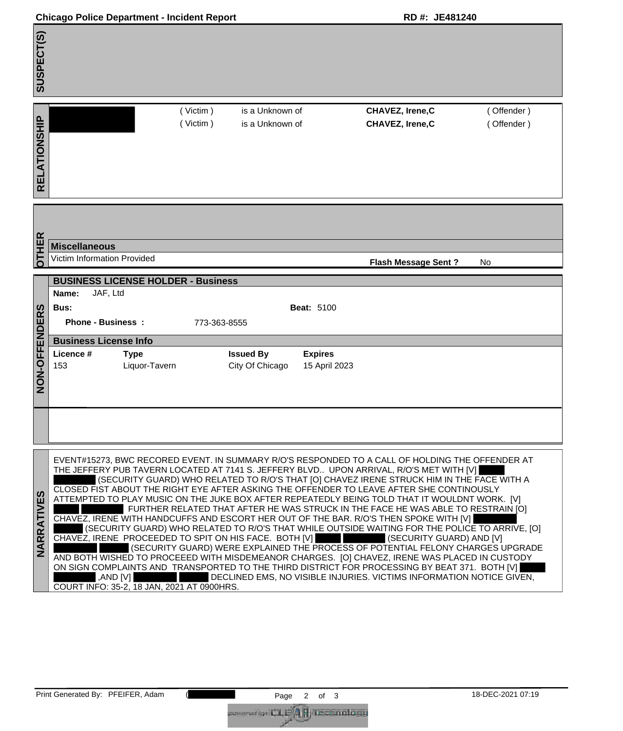| <b>Chicago Police Department - Incident Report</b> |  |
|----------------------------------------------------|--|
|----------------------------------------------------|--|

SUSPECT(S) **SUSPECT(S)** ( Victim ) is a Unknown of **CHAVEZ, Irene,C** ( Offender ) RELATIONSHIP **RELATIONSHIP** ( Victim )is a Unknown of **CHAVEZ, Irene,C** ( Offender ) **OTHER Miscellaneous**  Victim Information Provided **Flash Message Sent ?** No **BUSINESS LICENSE HOLDER - Business Name:** JAF, Ltd **NON-OFFENDERS**  NON-OFFENDERS **Bus: Beat:** 5100 **Phone - Business : 773-363-8555 Business License Info Licence # Type Issued By Expires** 153 Liquor-Tavern City Of Chicago 15 April 2023 EVENT#15273, BWC RECORED EVENT. IN SUMMARY R/O'S RESPONDED TO A CALL OF HOLDING THE OFFENDER AT THE JEFFERY PUB TAVERN LOCATED AT 7141 S. JEFFERY BLVD.. UPON ARRIVAL, R/O'S MET WITH [V] (SECURITY GUARD) WHO RELATED TO R/O'S THAT [O] CHAVEZ IRENE STRUCK HIM IN THE FACE WITH A CLOSED FIST ABOUT THE RIGHT EYE AFTER ASKING THE OFFENDER TO LEAVE AFTER SHE CONTINOUSLY **NARRATIVES**  NARRATIVES ATTEMPTED TO PLAY MUSIC ON THE JUKE BOX AFTER REPEATEDLY BEING TOLD THAT IT WOULDNT WORK. [V] FURTHER RELATED THAT AFTER HE WAS STRUCK IN THE FACE HE WAS ABLE TO RESTRAIN [O] CHAVEZ, IRENE WITH HANDCUFFS AND ESCORT HER OUT OF THE BAR. R/O'S THEN SPOKE WITH [V] (SECURITY GUARD) WHO RELATED TO R/O'S THAT WHILE OUTSIDE WAITING FOR THE POLICE TO ARRIVE, [O] CHAVEZ, IRENE PROCEEDED TO SPIT ON HIS FACE. BOTH [V] (SECURITY GUARD) AND [V] (SECURITY GUARD) WERE EXPLAINED THE PROCESS OF POTENTIAL FELONY CHARGES UPGRADE AND BOTH WISHED TO PROCEEED WITH MISDEMEANOR CHARGES. [O] CHAVEZ, IRENE WAS PLACED IN CUSTODY ON SIGN COMPLAINTS AND TRANSPORTED TO THE THIRD DISTRICT FOR PROCESSING BY BEAT 371. BOTH [V] ,AND [V] DECLINED EMS, NO VISIBLE INJURIES. VICTIMS INFORMATION NOTICE GIVEN, COURT INFO: 35-2, 18 JAN, 2021 AT 0900HRS.